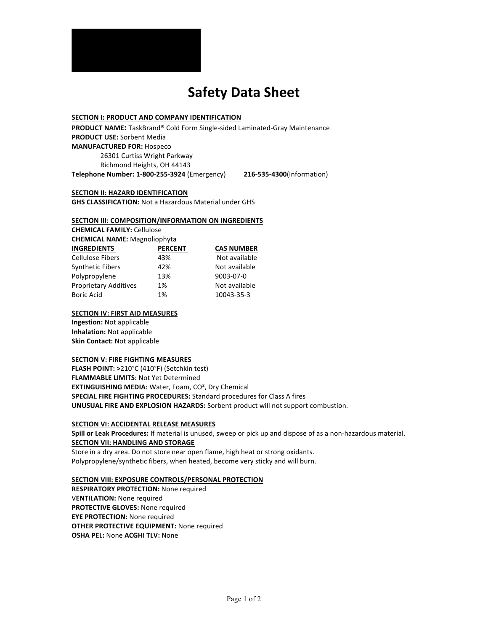

# **Safety Data Sheet**

## **SECTION I: PRODUCT AND COMPANY IDENTIFICATION**

PRODUCT NAME: TaskBrand® Cold Form Single-sided Laminated-Gray Maintenance **PRODUCT USE: Sorbent Media MANUFACTURED FOR: Hospeco** 26301 Curtiss Wright Parkway Richmond Heights, OH 44143 **Telephone Number: 1-800-255-3924** (Emergency) **216-535-4300**(Information) 

**SECTION II: HAZARD IDENTIFICATION** 

**GHS CLASSIFICATION:** Not a Hazardous Material under GHS

#### **SECTION III: COMPOSITION/INFORMATION ON INGREDIENTS**

**CHEMICAL FAMILY: Cellulose CHEMICAL NAME:** Magnoliophyta **INGREDIENTS PERCENT CAS NUMBER**

| <b>INGREDIENIS</b>           | rcn |
|------------------------------|-----|
| <b>Cellulose Fibers</b>      | 43% |
| <b>Synthetic Fibers</b>      | 42% |
| Polypropylene                | 13% |
| <b>Proprietary Additives</b> | 1%  |
| <b>Boric Acid</b>            | 1%  |

% Not available % Not available  $\%$  9003-07-0 Not available 10043-35-3

#### **SECTION IV: FIRST AID MEASURES**

**Ingestion:** Not applicable **Inhalation:** Not applicable **Skin Contact:** Not applicable

#### **SECTION V: FIRE FIGHTING MEASURES**

FLASH POINT: >210°C (410°F) (Setchkin test) **FLAMMABLE LIMITS: Not Yet Determined EXTINGUISHING MEDIA:** Water, Foam, CO<sup>2</sup>, Dry Chemical **SPECIAL FIRE FIGHTING PROCEDURES:** Standard procedures for Class A fires **UNUSUAL FIRE AND EXPLOSION HAZARDS:** Sorbent product will not support combustion.

#### **SECTION VI: ACCIDENTAL RELEASE MEASURES**

**Spill or Leak Procedures:** If material is unused, sweep or pick up and dispose of as a non-hazardous material. **SECTION VII: HANDLING AND STORAGE** Store in a dry area. Do not store near open flame, high heat or strong oxidants. Polypropylene/synthetic fibers, when heated, become very sticky and will burn.

**SECTION VIII: EXPOSURE CONTROLS/PERSONAL PROTECTION** 

**RESPIRATORY PROTECTION:** None required **VENTILATION:** None required **PROTECTIVE GLOVES:** None required **EYE PROTECTION:** None required **OTHER PROTECTIVE EQUIPMENT:** None required **OSHA PEL: None ACGHI TLV: None**